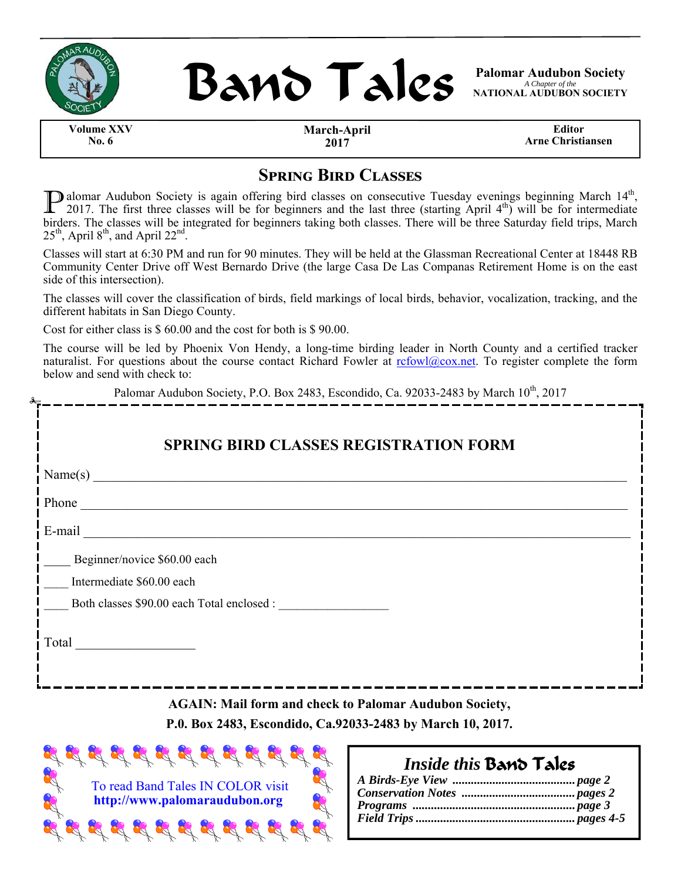

j



*A Chapter of the*  **NATIONAL AUDUBON SOCIETY** 

**Volume XXV No. 6** 

**March-April 2017** 

**Editor Arne Christiansen** 

### **SPRING BIRD CLASSES**

D alomar Audubon Society is again offering bird classes on consecutive Tuesday evenings beginning March 14<sup>th</sup>, 2017. The first three classes will be for beginners and the last three (starting April  $4<sup>th</sup>$ ) will be for intermediate birders. The classes will be integrated for beginners taking both classes. There will be three Saturday field trips, March  $25<sup>th</sup>$ , April 8<sup>th</sup>, and April 22<sup>nd</sup>.

Classes will start at 6:30 PM and run for 90 minutes. They will be held at the Glassman Recreational Center at 18448 RB Community Center Drive off West Bernardo Drive (the large Casa De Las Companas Retirement Home is on the east side of this intersection).

The classes will cover the classification of birds, field markings of local birds, behavior, vocalization, tracking, and the different habitats in San Diego County.

Cost for either class is \$ 60.00 and the cost for both is \$ 90.00.

The course will be led by Phoenix Von Hendy, a long-time birding leader in North County and a certified tracker naturalist. For questions about the course contact Richard Fowler at refowl@cox.net. To register complete the form below and send with check to:

| Palomar Audubon Society, P.O. Box 2483, Escondido, Ca. 92033-2483 by March 10 <sup>th</sup> , 2017<br>-------------------                                                |  |
|--------------------------------------------------------------------------------------------------------------------------------------------------------------------------|--|
| <b>SPRING BIRD CLASSES REGISTRATION FORM</b>                                                                                                                             |  |
| Name(s)                                                                                                                                                                  |  |
|                                                                                                                                                                          |  |
|                                                                                                                                                                          |  |
| Beginner/novice \$60.00 each                                                                                                                                             |  |
| Intermediate \$60.00 each                                                                                                                                                |  |
| Both classes \$90.00 each Total enclosed :                                                                                                                               |  |
|                                                                                                                                                                          |  |
| <b>AGAIN: Mail form and check to Palomar Audubon Society,</b><br>P.0. Box 2483, Escondido, Ca.92033-2483 by March 10, 2017.<br>$\sim$ $\sim$ $\sim$ $\sim$ $\sim$ $\sim$ |  |



### *Inside this* Band Tales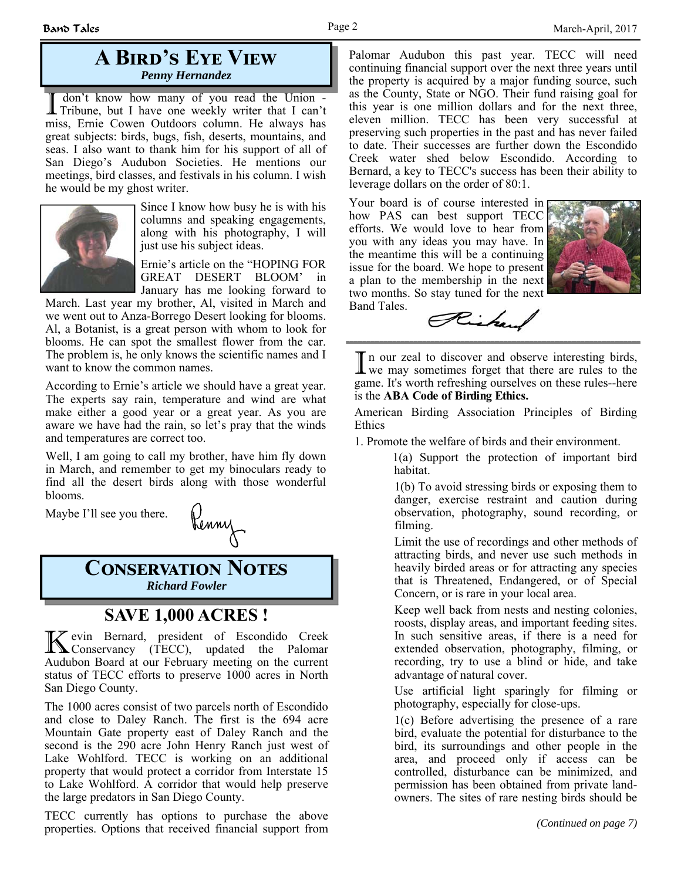### **A BIRD'S EYE VIEW** *Penny Hernandez*

I don't know how many of you read the Union - Tribune, but I have one weekly writer that I can't miss, Ernie Cowen Outdoors column. He always has great subjects: birds, bugs, fish, deserts, mountains, and seas. I also want to thank him for his support of all of San Diego's Audubon Societies. He mentions our meetings, bird classes, and festivals in his column. I wish he would be my ghost writer.



Since I know how busy he is with his columns and speaking engagements, along with his photography, I will just use his subject ideas.

Ernie's article on the "HOPING FOR GREAT DESERT BLOOM' in January has me looking forward to

March. Last year my brother, Al, visited in March and we went out to Anza-Borrego Desert looking for blooms. Al, a Botanist, is a great person with whom to look for blooms. He can spot the smallest flower from the car. The problem is, he only knows the scientific names and I want to know the common names.

According to Ernie's article we should have a great year. The experts say rain, temperature and wind are what make either a good year or a great year. As you are aware we have had the rain, so let's pray that the winds and temperatures are correct too.

Well, I am going to call my brother, have him fly down in March, and remember to get my binoculars ready to find all the desert birds along with those wonderful blooms.

Maybe I'll see you there.



**CONSERVATION NOTES** *Richard Fowler* 

### **SAVE 1,000 ACRES !**

K evin Bernard, president of Escondido Creek Conservancy (TECC), updated the Palomar Audubon Board at our February meeting on the current status of TECC efforts to preserve 1000 acres in North San Diego County.

The 1000 acres consist of two parcels north of Escondido and close to Daley Ranch. The first is the 694 acre Mountain Gate property east of Daley Ranch and the second is the 290 acre John Henry Ranch just west of Lake Wohlford. TECC is working on an additional property that would protect a corridor from Interstate 15 to Lake Wohlford. A corridor that would help preserve the large predators in San Diego County.

TECC currently has options to purchase the above properties. Options that received financial support from

Palomar Audubon this past year. TECC will need continuing financial support over the next three years until the property is acquired by a major funding source, such as the County, State or NGO. Their fund raising goal for this year is one million dollars and for the next three, eleven million. TECC has been very successful at preserving such properties in the past and has never failed to date. Their successes are further down the Escondido Creek water shed below Escondido. According to Bernard, a key to TECC's success has been their ability to leverage dollars on the order of 80:1.

Your board is of course interested in how PAS can best support TECC efforts. We would love to hear from you with any ideas you may have. In the meantime this will be a continuing issue for the board. We hope to present a plan to the membership in the next two months. So stay tuned for the next Band Tales.



Richard

I n our zeal to discover and observe interesting birds, we may sometimes forget that there are rules to the game. It's worth refreshing ourselves on these rules--here is the **ABA Code of Birding Ethics.** 

American Birding Association Principles of Birding Ethics

1. Promote the welfare of birds and their environment.

1(a) Support the protection of important bird habitat.

1(b) To avoid stressing birds or exposing them to danger, exercise restraint and caution during observation, photography, sound recording, or filming.

Limit the use of recordings and other methods of attracting birds, and never use such methods in heavily birded areas or for attracting any species that is Threatened, Endangered, or of Special Concern, or is rare in your local area.

Keep well back from nests and nesting colonies, roosts, display areas, and important feeding sites. In such sensitive areas, if there is a need for extended observation, photography, filming, or recording, try to use a blind or hide, and take advantage of natural cover.

Use artificial light sparingly for filming or photography, especially for close-ups.

1(c) Before advertising the presence of a rare bird, evaluate the potential for disturbance to the bird, its surroundings and other people in the area, and proceed only if access can be controlled, disturbance can be minimized, and permission has been obtained from private landowners. The sites of rare nesting birds should be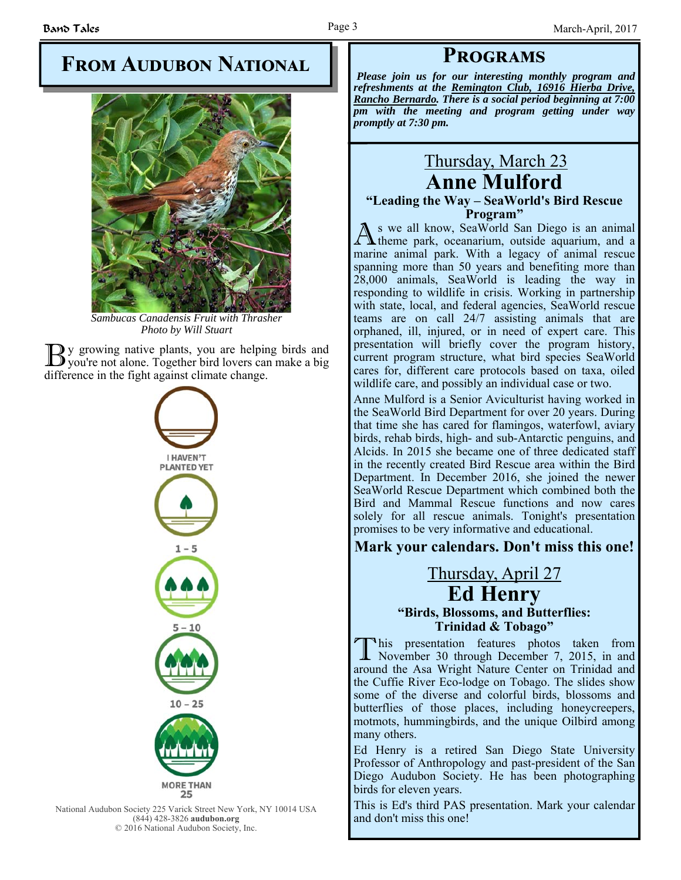## **FROM AUDUBON NATIONAL**



*Sambucas Canadensis Fruit with Thrasher Photo by Will Stuart*

If y growing native plants, you are helping birds and **)** you're not alone. Together bird lovers can make a big difference in the fight against climate change.



National Audubon Society 225 Varick Street New York, NY 10014 USA (844) 428-3826 **audubon.org** © 2016 National Audubon Society, Inc.

*Please join us for our interesting monthly program and refreshments at the Remington Club, 16916 Hierba Drive, Rancho Bernardo. There is a social period beginning at 7:00 pm with the meeting and program getting under way promptly at 7:30 pm.* 

**PROGRAMS** 

### Thursday, March 23 **Anne Mulford**

# **"Leading the Way – SeaWorld's Bird Rescue**

**Program"**<br>s we all know, SeaWorld San Diego is an animal A s we all know, SeaWorld San Diego is an animal theme park, oceanarium, outside aquarium, and a marine animal park. With a legacy of animal rescue spanning more than 50 years and benefiting more than 28,000 animals, SeaWorld is leading the way in responding to wildlife in crisis. Working in partnership with state, local, and federal agencies, SeaWorld rescue teams are on call 24/7 assisting animals that are orphaned, ill, injured, or in need of expert care. This presentation will briefly cover the program history, current program structure, what bird species SeaWorld cares for, different care protocols based on taxa, oiled wildlife care, and possibly an individual case or two.

Anne Mulford is a Senior Aviculturist having worked in the SeaWorld Bird Department for over 20 years. During that time she has cared for flamingos, waterfowl, aviary birds, rehab birds, high- and sub-Antarctic penguins, and Alcids. In 2015 she became one of three dedicated staff in the recently created Bird Rescue area within the Bird Department. In December 2016, she joined the newer SeaWorld Rescue Department which combined both the Bird and Mammal Rescue functions and now cares solely for all rescue animals. Tonight's presentation promises to be very informative and educational.

### **Mark your calendars. Don't miss this one!**

### Thursday, April 27 **Ed Henry "Birds, Blossoms, and Butterflies: Trinidad & Tobago"**

T his presentation features photos taken from November 30 through December 7, 2015, in and around the Asa Wright Nature Center on Trinidad and the Cuffie River Eco-lodge on Tobago. The slides show some of the diverse and colorful birds, blossoms and butterflies of those places, including honeycreepers, motmots, hummingbirds, and the unique Oilbird among many others.

Ed Henry is a retired San Diego State University Professor of Anthropology and past-president of the San Diego Audubon Society. He has been photographing birds for eleven years.

This is Ed's third PAS presentation. Mark your calendar and don't miss this one!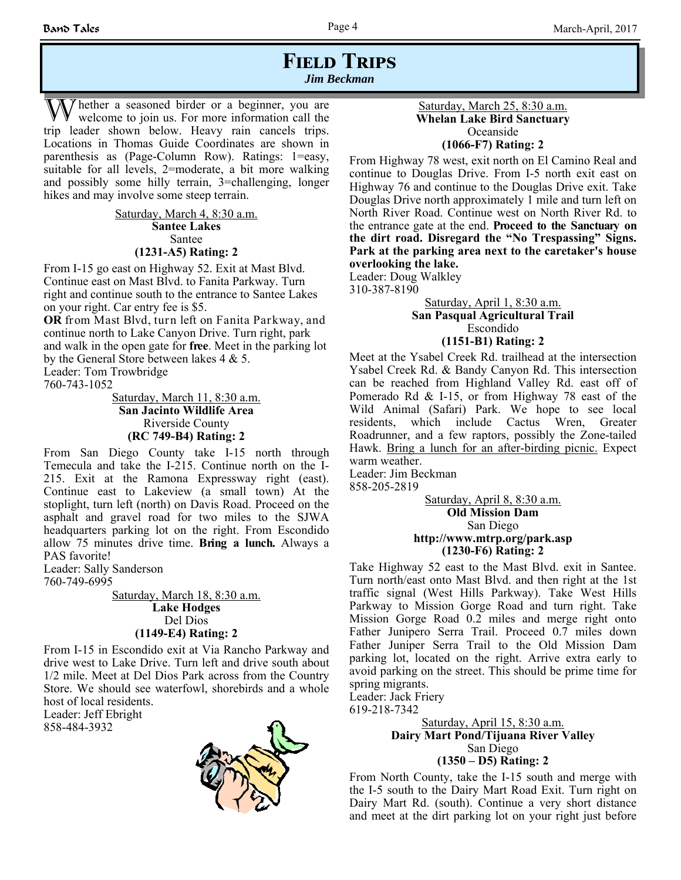### **FIELD TRIPS** *Jim Beckman*

 $\bar{y}$  hether a seasoned birder or a beginner, you are welcome to join us. For more information call the trip leader shown below. Heavy rain cancels trips. Locations in Thomas Guide Coordinates are shown in parenthesis as (Page-Column Row). Ratings: 1=easy, suitable for all levels, 2=moderate, a bit more walking and possibly some hilly terrain, 3=challenging, longer hikes and may involve some steep terrain.

> Saturday, March 4, 8:30 a.m. **Santee Lakes** Santee **(1231-A5) Rating: 2**

From I-15 go east on Highway 52. Exit at Mast Blvd. Continue east on Mast Blvd. to Fanita Parkway. Turn right and continue south to the entrance to Santee Lakes on your right. Car entry fee is \$5.

**OR** from Mast Blvd, turn left on Fanita Parkway, and continue north to Lake Canyon Drive. Turn right, park and walk in the open gate for **free**. Meet in the parking lot by the General Store between lakes 4 & 5.

Leader: Tom Trowbridge

760-743-1052

Saturday, March 11, 8:30 a.m. **San Jacinto Wildlife Area** Riverside County **(RC 749-B4) Rating: 2**

From San Diego County take I-15 north through Temecula and take the I-215. Continue north on the I-215. Exit at the Ramona Expressway right (east). Continue east to Lakeview (a small town) At the stoplight, turn left (north) on Davis Road. Proceed on the asphalt and gravel road for two miles to the SJWA headquarters parking lot on the right. From Escondido allow 75 minutes drive time. **Bring a lunch.** Always a PAS favorite!

Leader: Sally Sanderson 760-749-6995

> Saturday, March 18, 8:30 a.m. **Lake Hodges** Del Dios **(1149-E4) Rating: 2**

From I-15 in Escondido exit at Via Rancho Parkway and drive west to Lake Drive. Turn left and drive south about 1/2 mile. Meet at Del Dios Park across from the Country Store. We should see waterfowl, shorebirds and a whole host of local residents.

Leader: Jeff Ebright 858-484-3932



### Saturday, March 25, 8:30 a.m. **Whelan Lake Bird Sanctuary** Oceanside **(1066-F7) Rating: 2**

From Highway 78 west, exit north on El Camino Real and continue to Douglas Drive. From I-5 north exit east on Highway 76 and continue to the Douglas Drive exit. Take Douglas Drive north approximately 1 mile and turn left on North River Road. Continue west on North River Rd. to the entrance gate at the end. **Proceed to the Sanctuary on the dirt road. Disregard the "No Trespassing" Signs. Park at the parking area next to the caretaker's house overlooking the lake.**

Leader: Doug Walkley 310-387-8190

#### Saturday, April 1, 8:30 a.m. **San Pasqual Agricultural Trail**  Escondido **(1151-B1) Rating: 2**

Meet at the Ysabel Creek Rd. trailhead at the intersection Ysabel Creek Rd. & Bandy Canyon Rd. This intersection can be reached from Highland Valley Rd. east off of Pomerado Rd & I-15, or from Highway 78 east of the Wild Animal (Safari) Park. We hope to see local residents, which include Cactus Wren, Greater Roadrunner, and a few raptors, possibly the Zone-tailed Hawk. Bring a lunch for an after-birding picnic. Expect warm weather.

Leader: Jim Beckman 858-205-2819

> Saturday, April 8, 8:30 a.m. **Old Mission Dam** San Diego **http://www.mtrp.org/park.asp (1230-F6) Rating: 2**

Take Highway 52 east to the Mast Blvd. exit in Santee. Turn north/east onto Mast Blvd. and then right at the 1st traffic signal (West Hills Parkway). Take West Hills Parkway to Mission Gorge Road and turn right. Take Mission Gorge Road 0.2 miles and merge right onto Father Junipero Serra Trail. Proceed 0.7 miles down Father Juniper Serra Trail to the Old Mission Dam parking lot, located on the right. Arrive extra early to avoid parking on the street. This should be prime time for spring migrants.

Leader: Jack Friery 619-218-7342

Saturday, April 15, 8:30 a.m. **Dairy Mart Pond/Tijuana River Valley** San Diego **(1350 – D5) Rating: 2**

From North County, take the I-15 south and merge with the I-5 south to the Dairy Mart Road Exit. Turn right on Dairy Mart Rd. (south). Continue a very short distance and meet at the dirt parking lot on your right just before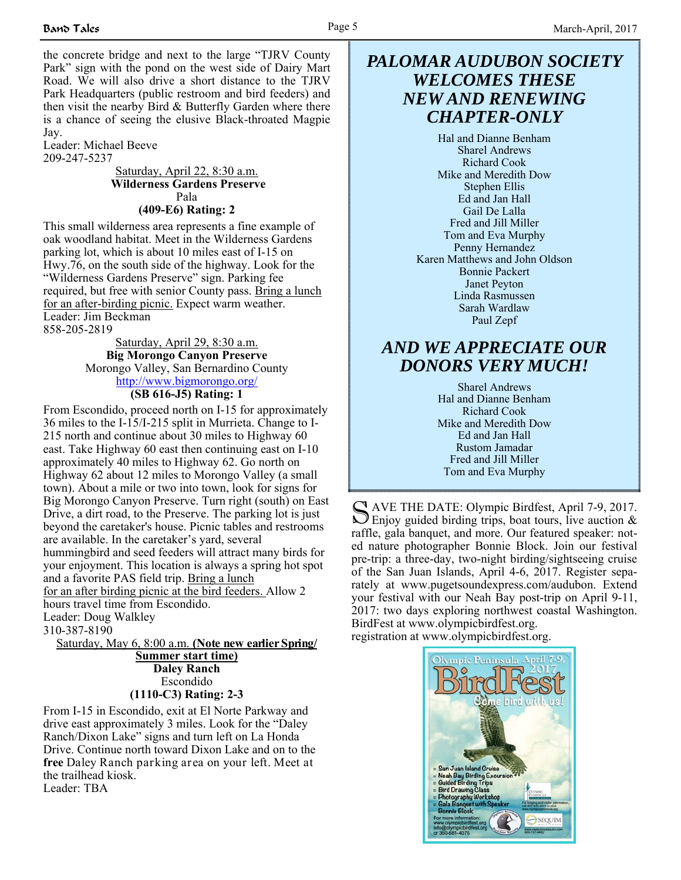the concrete bridge and next to the large "TJRV County Park" sign with the pond on the west side of Dairy Mart Road. We will also drive a short distance to the TJRV Park Headquarters (public restroom and bird feeders) and then visit the nearby Bird & Butterfly Garden where there is a chance of seeing the elusive Black-throated Magpie Jay.

Leader: Michael Beeve 209-247-5237

Saturday, April 22, 8:30 a.m.  **Wilderness Gardens Preserve** Pala **(409-E6) Rating: 2**

This small wilderness area represents a fine example of oak woodland habitat. Meet in the Wilderness Gardens parking lot, which is about 10 miles east of I-15 on Hwy.76, on the south side of the highway. Look for the "Wilderness Gardens Preserve" sign. Parking fee required, but free with senior County pass. Bring a lunch for an after-birding picnic. Expect warm weather. Leader: Jim Beckman 858-205-2819

> Saturday, April 29, 8:30 a.m. **Big Morongo Canyon Preserve** Morongo Valley, San Bernardino County http://www.bigmorongo.org/ **(SB 616-J5) Rating: 1**

From Escondido, proceed north on I-15 for approximately 36 miles to the I-15/I-215 split in Murrieta. Change to I-215 north and continue about 30 miles to Highway 60 east. Take Highway 60 east then continuing east on I-10 approximately 40 miles to Highway 62. Go north on Highway 62 about 12 miles to Morongo Valley (a small town). About a mile or two into town, look for signs for Big Morongo Canyon Preserve. Turn right (south) on East Drive, a dirt road, to the Preserve. The parking lot is just beyond the caretaker's house. Picnic tables and restrooms are available. In the caretaker's yard, several hummingbird and seed feeders will attract many birds for your enjoyment. This location is always a spring hot spot and a favorite PAS field trip. Bring a lunch for an after birding picnic at the bird feeders. Allow 2 hours travel time from Escondido. Leader: Doug Walkley 310-387-8190

Saturday, May 6, 8:00 a.m. **(Note new earlier Spring/ Summer start time) Daley Ranch** Escondido **(1110-C3) Rating: 2-3**

From I-15 in Escondido, exit at El Norte Parkway and drive east approximately 3 miles. Look for the "Daley Ranch/Dixon Lake" signs and turn left on La Honda Drive. Continue north toward Dixon Lake and on to the **free** Daley Ranch parking area on your left. Meet at the trailhead kiosk. Leader: TBA

### *PALOMAR AUDUBON SOCIETY WELCOMES THESE NEW AND RENEWING CHAPTER-ONLY*

Hal and Dianne Benham Sharel Andrews Richard Cook Mike and Meredith Dow Stephen Ellis Ed and Jan Hall Gail De Lalla Fred and Jill Miller Tom and Eva Murphy Penny Hernandez Karen Matthews and John Oldson Bonnie Packert Janet Peyton Linda Rasmussen Sarah Wardlaw Paul Zepf

### *AND WE APPRECIATE OUR DONORS VERY MUCH!*

Sharel Andrews Hal and Dianne Benham Richard Cook Mike and Meredith Dow Ed and Jan Hall Rustom Jamadar Fred and Jill Miller Tom and Eva Murphy

S AVE THE DATE: Olympic Birdfest, April 7-9, 2017.<br>
Enjoy guided birding trips, boat tours, live auction & raffle, gala banquet, and more. Our featured speaker: noted nature photographer Bonnie Block. Join our festival pre-trip: a three-day, two-night birding/sightseeing cruise of the San Juan Islands, April 4-6, 2017. Register separately at www.pugetsoundexpress.com/audubon. Extend your festival with our Neah Bay post-trip on April 9-11, 2017: two days exploring northwest coastal Washington. BirdFest at www.olympicbirdfest.org. registration at www.olympicbirdfest.org.

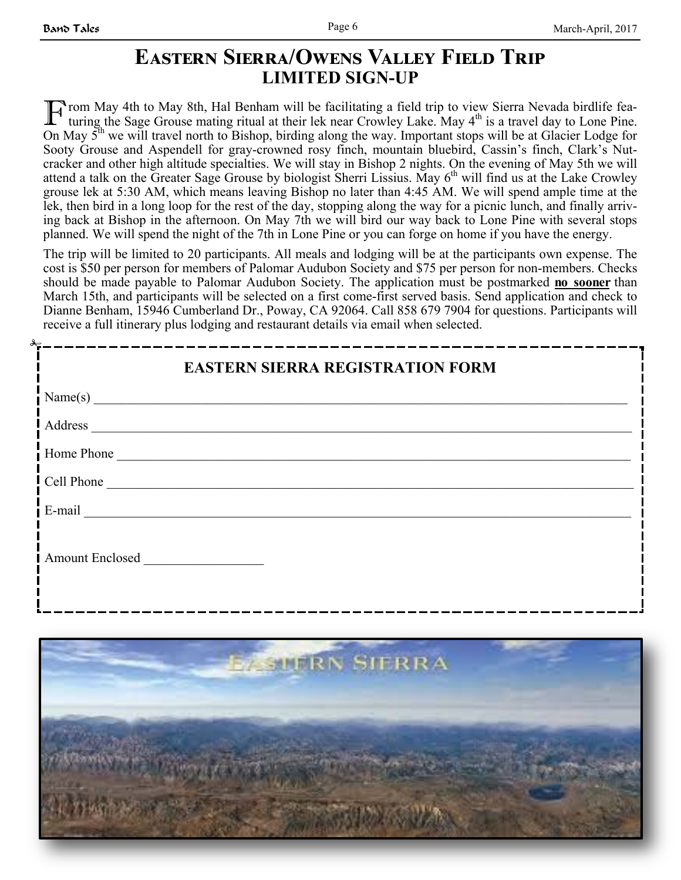### **EASTERN SIERRA/OWENS VALLEY FIELD TRIP LIMITED SIGN-UP**

F rom May 4th to May 8th, Hal Benham will be facilitating a field trip to view Sierra Nevada birdlife featuring the Sage Grouse mating ritual at their lek near Crowley Lake. May  $4<sup>th</sup>$  is a travel day to Lone Pine. On May  $5<sup>th</sup>$  we will travel north to Bishop, birding along the way. Important stops will be at Glacier Lodge for Sooty Grouse and Aspendell for gray-crowned rosy finch, mountain bluebird, Cassin's finch, Clark's Nutcracker and other high altitude specialties. We will stay in Bishop 2 nights. On the evening of May 5th we will attend a talk on the Greater Sage Grouse by biologist Sherri Lissius. May 6<sup>th</sup> will find us at the Lake Crowley grouse lek at 5:30 AM, which means leaving Bishop no later than 4:45 AM. We will spend ample time at the lek, then bird in a long loop for the rest of the day, stopping along the way for a picnic lunch, and finally arriving back at Bishop in the afternoon. On May 7th we will bird our way back to Lone Pine with several stops planned. We will spend the night of the 7th in Lone Pine or you can forge on home if you have the energy.

The trip will be limited to 20 participants. All meals and lodging will be at the participants own expense. The cost is \$50 per person for members of Palomar Audubon Society and \$75 per person for non-members. Checks should be made payable to Palomar Audubon Society. The application must be postmarked **no sooner** than March 15th, and participants will be selected on a first come-first served basis. Send application and check to Dianne Benham, 15946 Cumberland Dr., Poway, CA 92064. Call 858 679 7904 for questions. Participants will receive a full itinerary plus lodging and restaurant details via email when selected.

| <b>EASTERN SIERRA REGISTRATION FORM</b>                                                                                     |
|-----------------------------------------------------------------------------------------------------------------------------|
| Name(s)<br>and the control of the control of the control of the control of the control of the control of the control of the |
| Address                                                                                                                     |
| Home Phone                                                                                                                  |
| Cell Phone                                                                                                                  |
| $E$ -mail                                                                                                                   |
| <b>Amount Enclosed</b>                                                                                                      |

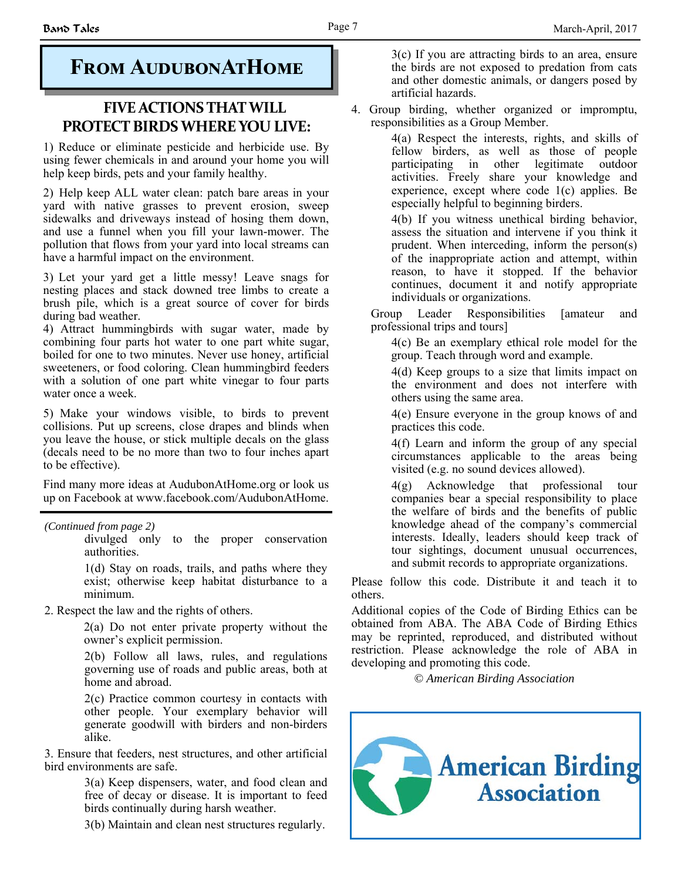### **FIVE ACTIONS THAT WILL PROTECT BIRDS WHERE YOU LIVE:**

1) Reduce or eliminate pesticide and herbicide use. By using fewer chemicals in and around your home you will help keep birds, pets and your family healthy.

2) Help keep ALL water clean: patch bare areas in your yard with native grasses to prevent erosion, sweep sidewalks and driveways instead of hosing them down, and use a funnel when you fill your lawn-mower. The pollution that flows from your yard into local streams can have a harmful impact on the environment.

3) Let your yard get a little messy! Leave snags for nesting places and stack downed tree limbs to create a brush pile, which is a great source of cover for birds during bad weather.

4) Attract hummingbirds with sugar water, made by combining four parts hot water to one part white sugar, boiled for one to two minutes. Never use honey, artificial sweeteners, or food coloring. Clean hummingbird feeders with a solution of one part white vinegar to four parts water once a week.

5) Make your windows visible, to birds to prevent collisions. Put up screens, close drapes and blinds when you leave the house, or stick multiple decals on the glass (decals need to be no more than two to four inches apart to be effective).

Find many more ideas at AudubonAtHome.org or look us up on Facebook at www.facebook.com/AudubonAtHome.

*(Continued from page 2)* 

divulged only to the proper conservation authorities.

1(d) Stay on roads, trails, and paths where they exist; otherwise keep habitat disturbance to a minimum.

2. Respect the law and the rights of others.

2(a) Do not enter private property without the owner's explicit permission.

2(b) Follow all laws, rules, and regulations governing use of roads and public areas, both at home and abroad.

2(c) Practice common courtesy in contacts with other people. Your exemplary behavior will generate goodwill with birders and non-birders alike.

3. Ensure that feeders, nest structures, and other artificial bird environments are safe.

> 3(a) Keep dispensers, water, and food clean and free of decay or disease. It is important to feed birds continually during harsh weather.

3(b) Maintain and clean nest structures regularly.

**FROM AUDUBONATHOME** 3(c) If you are attracting birds to an area, ensure<br>the birds are not exposed to predation from cats the birds are not exposed to predation from cats and other domestic animals, or dangers posed by artificial hazards.

> 4. Group birding, whether organized or impromptu, responsibilities as a Group Member.

> > 4(a) Respect the interests, rights, and skills of fellow birders, as well as those of people participating in other legitimate outdoor activities. Freely share your knowledge and experience, except where code 1(c) applies. Be especially helpful to beginning birders.

> > 4(b) If you witness unethical birding behavior, assess the situation and intervene if you think it prudent. When interceding, inform the person(s) of the inappropriate action and attempt, within reason, to have it stopped. If the behavior continues, document it and notify appropriate individuals or organizations.

 Group Leader Responsibilities [amateur and professional trips and tours]

4(c) Be an exemplary ethical role model for the group. Teach through word and example.

4(d) Keep groups to a size that limits impact on the environment and does not interfere with others using the same area.

4(e) Ensure everyone in the group knows of and practices this code.

4(f) Learn and inform the group of any special circumstances applicable to the areas being visited (e.g. no sound devices allowed).

4(g) Acknowledge that professional tour companies bear a special responsibility to place the welfare of birds and the benefits of public knowledge ahead of the company's commercial interests. Ideally, leaders should keep track of tour sightings, document unusual occurrences, and submit records to appropriate organizations.

Please follow this code. Distribute it and teach it to others.

Additional copies of the Code of Birding Ethics can be obtained from ABA. The ABA Code of Birding Ethics may be reprinted, reproduced, and distributed without restriction. Please acknowledge the role of ABA in developing and promoting this code.

*© American Birding Association*